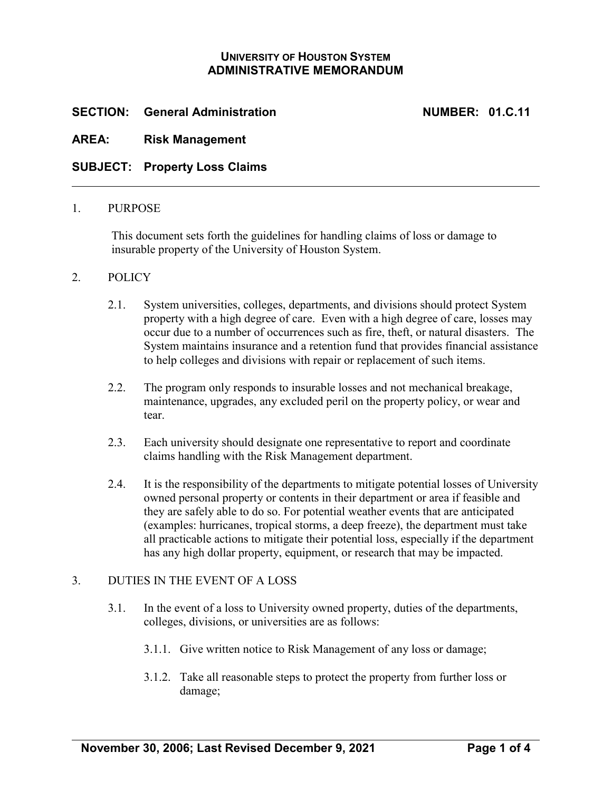# **UNIVERSITY OF HOUSTON SYSTEM ADMINISTRATIVE MEMORANDUM**

# **SECTION: General Administration NUMBER: 01.C.11**

### **AREA: Risk Management**

### **SUBJECT: Property Loss Claims**

#### 1. PURPOSE

This document sets forth the guidelines for handling claims of loss or damage to insurable property of the University of Houston System.

- 2. POLICY
	- 2.1. System universities, colleges, departments, and divisions should protect System property with a high degree of care. Even with a high degree of care, losses may occur due to a number of occurrences such as fire, theft, or natural disasters. The System maintains insurance and a retention fund that provides financial assistance to help colleges and divisions with repair or replacement of such items.
	- 2.2. The program only responds to insurable losses and not mechanical breakage, maintenance, upgrades, any excluded peril on the property policy, or wear and tear.
	- 2.3. Each university should designate one representative to report and coordinate claims handling with the Risk Management department.
	- 2.4. It is the responsibility of the departments to mitigate potential losses of University owned personal property or contents in their department or area if feasible and they are safely able to do so. For potential weather events that are anticipated (examples: hurricanes, tropical storms, a deep freeze), the department must take all practicable actions to mitigate their potential loss, especially if the department has any high dollar property, equipment, or research that may be impacted.

### 3. DUTIES IN THE EVENT OF A LOSS

- 3.1. In the event of a loss to University owned property, duties of the departments, colleges, divisions, or universities are as follows:
	- 3.1.1. Give written notice to Risk Management of any loss or damage;
	- 3.1.2. Take all reasonable steps to protect the property from further loss or damage;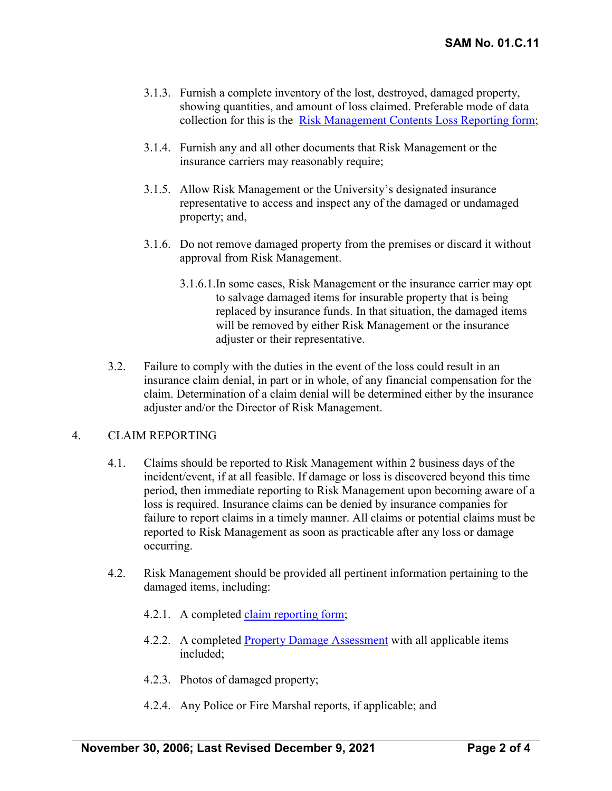- 3.1.3. Furnish a complete inventory of the lost, destroyed, damaged property, showing quantities, and amount of loss claimed. Preferable mode of data collection for this is the [Risk Management Contents Loss Reporting form;](https://uh.edu/risk-management/_docs/personal-property-loss-reporting-form.xlsx)
- 3.1.4. Furnish any and all other documents that Risk Management or the insurance carriers may reasonably require;
- 3.1.5. Allow Risk Management or the University's designated insurance representative to access and inspect any of the damaged or undamaged property; and,
- 3.1.6. Do not remove damaged property from the premises or discard it without approval from Risk Management.
	- 3.1.6.1.In some cases, Risk Management or the insurance carrier may opt to salvage damaged items for insurable property that is being replaced by insurance funds. In that situation, the damaged items will be removed by either Risk Management or the insurance adjuster or their representative.
- 3.2. Failure to comply with the duties in the event of the loss could result in an insurance claim denial, in part or in whole, of any financial compensation for the claim. Determination of a claim denial will be determined either by the insurance adjuster and/or the Director of Risk Management.

## 4. CLAIM REPORTING

- 4.1. Claims should be reported to Risk Management within 2 business days of the incident/event, if at all feasible. If damage or loss is discovered beyond this time period, then immediate reporting to Risk Management upon becoming aware of a loss is required. Insurance claims can be denied by insurance companies for failure to report claims in a timely manner. All claims or potential claims must be reported to Risk Management as soon as practicable after any loss or damage occurring.
- 4.2. Risk Management should be provided all pertinent information pertaining to the damaged items, including:
	- 4.2.1. A completed [claim reporting form;](https://uh.edu/risk-management/_docs/property_loss_claim_form.pdf)
	- 4.2.2. A completed [Property Damage Assessment](https://uh.edu/risk-management/_docs/checklist1111.pdf) with all applicable items included;
	- 4.2.3. Photos of damaged property;
	- 4.2.4. Any Police or Fire Marshal reports, if applicable; and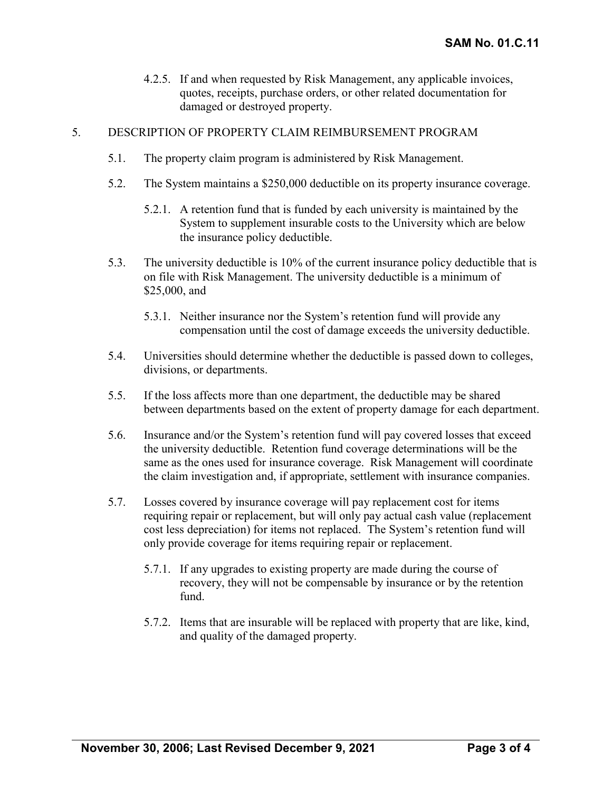4.2.5. If and when requested by Risk Management, any applicable invoices, quotes, receipts, purchase orders, or other related documentation for damaged or destroyed property.

## 5. DESCRIPTION OF PROPERTY CLAIM REIMBURSEMENT PROGRAM

- 5.1. The property claim program is administered by Risk Management.
- 5.2. The System maintains a \$250,000 deductible on its property insurance coverage.
	- 5.2.1. A retention fund that is funded by each university is maintained by the System to supplement insurable costs to the University which are below the insurance policy deductible.
- 5.3. The university deductible is 10% of the current insurance policy deductible that is on file with Risk Management. The university deductible is a minimum of \$25,000, and
	- 5.3.1. Neither insurance nor the System's retention fund will provide any compensation until the cost of damage exceeds the university deductible.
- 5.4. Universities should determine whether the deductible is passed down to colleges, divisions, or departments.
- 5.5. If the loss affects more than one department, the deductible may be shared between departments based on the extent of property damage for each department.
- 5.6. Insurance and/or the System's retention fund will pay covered losses that exceed the university deductible. Retention fund coverage determinations will be the same as the ones used for insurance coverage. Risk Management will coordinate the claim investigation and, if appropriate, settlement with insurance companies.
- 5.7. Losses covered by insurance coverage will pay replacement cost for items requiring repair or replacement, but will only pay actual cash value (replacement cost less depreciation) for items not replaced. The System's retention fund will only provide coverage for items requiring repair or replacement.
	- 5.7.1. If any upgrades to existing property are made during the course of recovery, they will not be compensable by insurance or by the retention fund.
	- 5.7.2. Items that are insurable will be replaced with property that are like, kind, and quality of the damaged property.